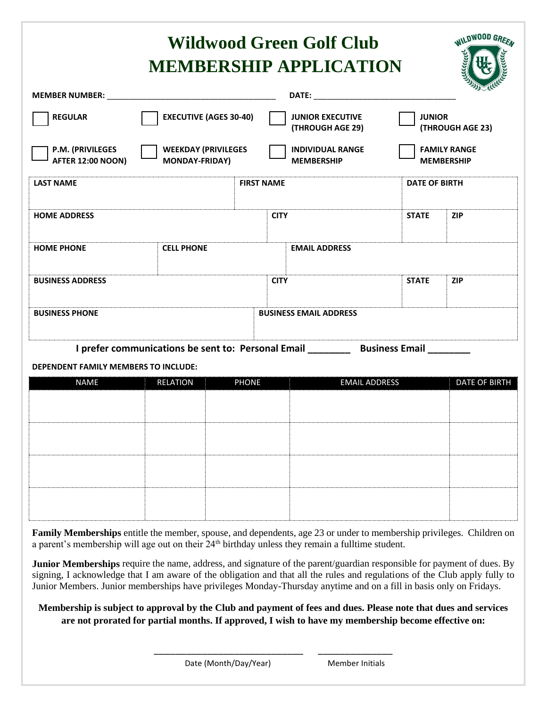| <b>WILDWOOD GREEN</b><br><b>Wildwood Green Golf Club</b><br><b>MEMBERSHIP APPLICATION</b> |                                                     |                               |                                                                                                                                                                                                                                |                      |                                          |  |
|-------------------------------------------------------------------------------------------|-----------------------------------------------------|-------------------------------|--------------------------------------------------------------------------------------------------------------------------------------------------------------------------------------------------------------------------------|----------------------|------------------------------------------|--|
|                                                                                           |                                                     |                               | DATE: the contract of the contract of the contract of the contract of the contract of the contract of the contract of the contract of the contract of the contract of the contract of the contract of the contract of the cont |                      |                                          |  |
| <b>REGULAR</b>                                                                            | <b>EXECUTIVE (AGES 30-40)</b>                       |                               | <b>JUNIOR EXECUTIVE</b><br>(THROUGH AGE 29)                                                                                                                                                                                    | <b>JUNIOR</b>        | (THROUGH AGE 23)                         |  |
| P.M. (PRIVILEGES<br><b>AFTER 12:00 NOON)</b>                                              | <b>WEEKDAY (PRIVILEGES</b><br><b>MONDAY-FRIDAY)</b> |                               | <b>INDIVIDUAL RANGE</b><br><b>MEMBERSHIP</b>                                                                                                                                                                                   |                      | <b>FAMILY RANGE</b><br><b>MEMBERSHIP</b> |  |
| <b>LAST NAME</b>                                                                          |                                                     | <b>FIRST NAME</b>             |                                                                                                                                                                                                                                | <b>DATE OF BIRTH</b> |                                          |  |
| <b>HOME ADDRESS</b>                                                                       |                                                     | <b>CITY</b>                   |                                                                                                                                                                                                                                | <b>STATE</b>         | <b>ZIP</b>                               |  |
| <b>HOME PHONE</b>                                                                         | <b>CELL PHONE</b>                                   |                               | <b>EMAIL ADDRESS</b>                                                                                                                                                                                                           |                      |                                          |  |
| <b>BUSINESS ADDRESS</b>                                                                   |                                                     | <b>CITY</b>                   |                                                                                                                                                                                                                                | <b>STATE</b>         | <b>ZIP</b>                               |  |
| <b>BUSINESS PHONE</b>                                                                     |                                                     | <b>BUSINESS EMAIL ADDRESS</b> |                                                                                                                                                                                                                                |                      |                                          |  |

**I prefer communications be sent to: Personal Email \_\_\_\_\_\_\_\_ Business Email \_\_\_\_\_\_\_\_**

#### **DEPENDENT FAMILY MEMBERS TO INCLUDE:**

| <b>NAME</b> | <b>RELATION</b> | <b>PHONE</b> | <b>EMAIL ADDRESS</b> | <b>DATE OF BIRTH</b> |
|-------------|-----------------|--------------|----------------------|----------------------|
|             |                 |              |                      |                      |
|             |                 |              |                      |                      |
|             |                 |              |                      |                      |
|             |                 |              |                      |                      |
|             |                 |              |                      |                      |
|             |                 |              |                      |                      |
|             |                 |              |                      |                      |
|             |                 |              |                      |                      |

**Family Memberships** entitle the member, spouse, and dependents, age 23 or under to membership privileges. Children on a parent's membership will age out on their 24<sup>th</sup> birthday unless they remain a fulltime student.

**Junior Memberships** require the name, address, and signature of the parent/guardian responsible for payment of dues. By signing, I acknowledge that I am aware of the obligation and that all the rules and regulations of the Club apply fully to Junior Members. Junior memberships have privileges Monday-Thursday anytime and on a fill in basis only on Fridays.

### **Membership is subject to approval by the Club and payment of fees and dues. Please note that dues and services are not prorated for partial months. If approved, I wish to have my membership become effective on:**

\_\_\_\_\_\_\_\_\_\_\_\_\_\_\_\_\_\_\_\_\_\_\_\_\_\_\_\_ \_\_\_\_\_\_\_\_\_\_\_\_\_\_

Date (Month/Day/Year) Member Initials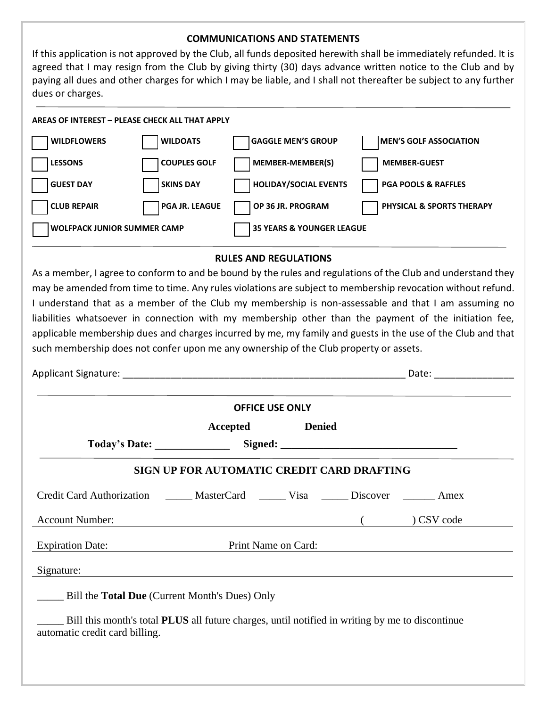#### **COMMUNICATIONS AND STATEMENTS**

If this application is not approved by the Club, all funds deposited herewith shall be immediately refunded. It is agreed that I may resign from the Club by giving thirty (30) days advance written notice to the Club and by paying all dues and other charges for which I may be liable, and I shall not thereafter be subject to any further dues or charges.

#### **AREAS OF INTEREST – PLEASE CHECK ALL THAT APPLY**

| <b>WILDFLOWERS</b>                 | <b>WILDOATS</b>       | <b>GAGGLE MEN'S GROUP</b>            | <b>IMEN'S GOLF ASSOCIATION</b>       |
|------------------------------------|-----------------------|--------------------------------------|--------------------------------------|
| <b>LESSONS</b>                     | <b>COUPLES GOLF</b>   | MEMBER-MEMBER(S)                     | <b>MEMBER-GUEST</b>                  |
| <b>GUEST DAY</b>                   | <b>SKINS DAY</b>      | <b>HOLIDAY/SOCIAL EVENTS</b>         | <b>PGA POOLS &amp; RAFFLES</b>       |
| <b>CLUB REPAIR</b>                 | <b>PGA JR. LEAGUE</b> | OP 36 JR. PROGRAM                    | <b>PHYSICAL &amp; SPORTS THERAPY</b> |
| <b>WOLFPACK JUNIOR SUMMER CAMP</b> |                       | <b>35 YEARS &amp; YOUNGER LEAGUE</b> |                                      |

#### **RULES AND REGULATIONS**

As a member, I agree to conform to and be bound by the rules and regulations of the Club and understand they may be amended from time to time. Any rules violations are subject to membership revocation without refund. I understand that as a member of the Club my membership is non-assessable and that I am assuming no liabilities whatsoever in connection with my membership other than the payment of the initiation fee, applicable membership dues and charges incurred by me, my family and guests in the use of the Club and that such membership does not confer upon me any ownership of the Club property or assets.

| <b>OFFICE USE ONLY</b>                                                                  |                                                       |                                                                                                                                                                                                                               |  |          |  |  |  |
|-----------------------------------------------------------------------------------------|-------------------------------------------------------|-------------------------------------------------------------------------------------------------------------------------------------------------------------------------------------------------------------------------------|--|----------|--|--|--|
|                                                                                         |                                                       | Accepted Denied                                                                                                                                                                                                               |  |          |  |  |  |
|                                                                                         |                                                       | Today's Date: Signed: Signed: Signed: Signed: Signed: Signed: Signed: Signed: Signed: Signed: Signed: Signed: Signed: Signed: Signed: Signed: Signed: Signed: Signed: Signed: Signed: Signed: Signed: Signed: Signed: Signed: |  |          |  |  |  |
|                                                                                         | SIGN UP FOR AUTOMATIC CREDIT CARD DRAFTING            |                                                                                                                                                                                                                               |  |          |  |  |  |
| Credit Card Authorization _______ MasterCard _______ Visa _______ Discover _______ Amex |                                                       |                                                                                                                                                                                                                               |  |          |  |  |  |
| <b>Account Number:</b>                                                                  | $\overline{\phantom{a}}$ (                            |                                                                                                                                                                                                                               |  | CSV code |  |  |  |
| Expiration Date: Print Name on Card:                                                    |                                                       |                                                                                                                                                                                                                               |  |          |  |  |  |
| Signature:                                                                              |                                                       |                                                                                                                                                                                                                               |  |          |  |  |  |
|                                                                                         | Bill the <b>Total Due</b> (Current Month's Dues) Only |                                                                                                                                                                                                                               |  |          |  |  |  |

automatic credit card billing.